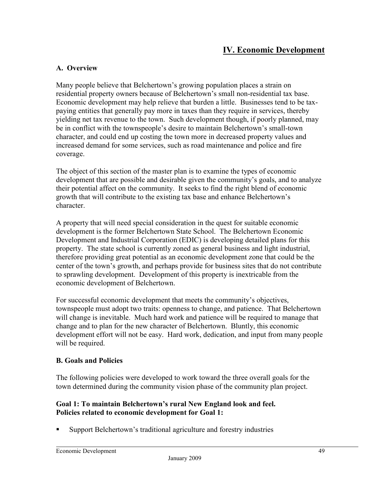# **A. Overview**

Many people believe that Belchertown's growing population places a strain on residential property owners because of Belchertown's small non-residential tax base. Economic development may help relieve that burden a little. Businesses tend to be taxpaying entities that generally pay more in taxes than they require in services, thereby yielding net tax revenue to the town. Such development though, if poorly planned, may be in conflict with the townspeople's desire to maintain Belchertown's small-town character, and could end up costing the town more in decreased property values and increased demand for some services, such as road maintenance and police and fire coverage.

The object of this section of the master plan is to examine the types of economic development that are possible and desirable given the community's goals, and to analyze their potential affect on the community. It seeks to find the right blend of economic growth that will contribute to the existing tax base and enhance Belchertown's character.

A property that will need special consideration in the quest for suitable economic development is the former Belchertown State School. The Belchertown Economic Development and Industrial Corporation (EDIC) is developing detailed plans for this property. The state school is currently zoned as general business and light industrial, therefore providing great potential as an economic development zone that could be the center of the town's growth, and perhaps provide for business sites that do not contribute to sprawling development. Development of this property is inextricable from the economic development of Belchertown.

For successful economic development that meets the community's objectives, townspeople must adopt two traits: openness to change, and patience. That Belchertown will change is inevitable. Much hard work and patience will be required to manage that change and to plan for the new character of Belchertown. Bluntly, this economic development effort will not be easy. Hard work, dedication, and input from many people will be required.

#### **B. Goals and Policies**

The following policies were developed to work toward the three overall goals for the town determined during the community vision phase of the community plan project.

# **Goal 1: To maintain Belchertown's rural New England look and feel. Policies related to economic development for Goal 1:**

Support Belchertown's traditional agriculture and forestry industries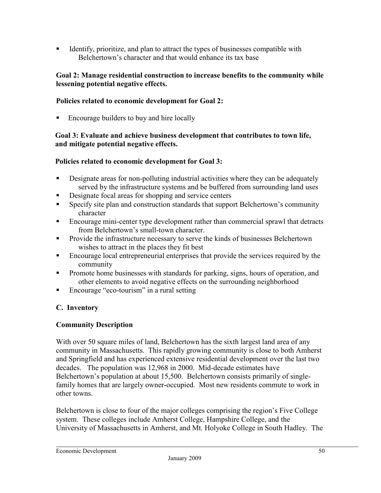Identify, prioritize, and plan to attract the types of businesses compatible with Belchertown's character and that would enhance its tax base

### **Goal 2: Manage residential construction to increase benefits to the community while lessening potential negative effects.**

# **Policies related to economic development for Goal 2:**

■ Encourage builders to buy and hire locally

#### **Goal 3: Evaluate and achieve business development that contributes to town life, and mitigate potential negative effects.**

# **Policies related to economic development for Goal 3:**

- Designate areas for non-polluting industrial activities where they can be adequately served by the infrastructure systems and be buffered from surrounding land uses
- Designate focal areas for shopping and service centers
- **Specify site plan and construction standards that support Belchertown's community** character
- Encourage mini-center type development rather than commercial sprawl that detracts from Belchertown's small-town character.
- **Provide the infrastructure necessary to serve the kinds of businesses Belchertown** wishes to attract in the places they fit best
- Encourage local entrepreneurial enterprises that provide the services required by the community
- **Promote home businesses with standards for parking, signs, hours of operation, and** other elements to avoid negative effects on the surrounding neighborhood
- Encourage "eco-tourism" in a rural setting

#### **C. Inventory**

#### **Community Description**

With over 50 square miles of land, Belchertown has the sixth largest land area of any community in Massachusetts. This rapidly growing community is close to both Amherst and Springfield and has experienced extensive residential development over the last two decades. The population was 12,968 in 2000. Mid-decade estimates have Belchertown's population at about 15,500. Belchertown consists primarily of singlefamily homes that are largely owner-occupied. Most new residents commute to work in other towns.

Belchertown is close to four of the major colleges comprising the region's Five College system. These colleges include Amherst College, Hampshire College, and the University of Massachusetts in Amherst, and Mt. Holyoke College in South Hadley. The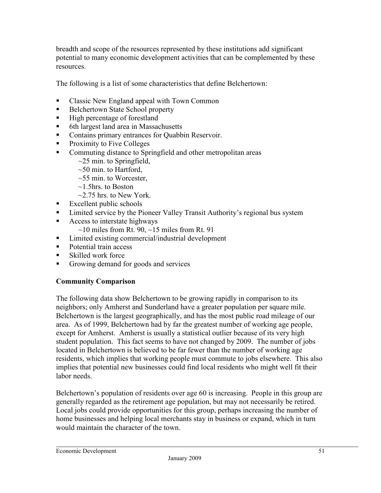breadth and scope of the resources represented by these institutions add significant potential to many economic development activities that can be complemented by these resources.

The following is a list of some characteristics that define Belchertown:

- Classic New England appeal with Town Common
- Belchertown State School property
- $\blacksquare$  High percentage of forestland
- 6th largest land area in Massachusetts
- Contains primary entrances for Quabbin Reservoir.
- **Proximity to Five Colleges**
- Commuting distance to Springfield and other metropolitan areas
	- $\sim$ 25 min. to Springfield,
		- $\sim$ 50 min. to Hartford,
		- $\sim$ 55 min. to Worcester,
		- $\sim$ 1.5hrs. to Boston
		- $\sim$ 2.75 hrs. to New York.
- $\blacksquare$  Excellent public schools
- Limited service by the Pioneer Valley Transit Authority's regional bus system
- Access to interstate highways
	- $\sim$ 10 miles from Rt. 90,  $\sim$ 15 miles from Rt. 91
- Limited existing commercial/industrial development
- Potential train access
- Skilled work force
- Growing demand for goods and services

# **Community Comparison**

The following data show Belchertown to be growing rapidly in comparison to its neighbors; only Amherst and Sunderland have a greater population per square mile. Belchertown is the largest geographically, and has the most public road mileage of our area. As of 1999, Belchertown had by far the greatest number of working age people, except for Amherst. Amherst is usually a statistical outlier because of its very high student population. This fact seems to have not changed by 2009. The number of jobs located in Belchertown is believed to be far fewer than the number of working age residents, which implies that working people must commute to jobs elsewhere. This also implies that potential new businesses could find local residents who might well fit their labor needs.

Belchertown's population of residents over age 60 is increasing. People in this group are generally regarded as the retirement age population, but may not necessarily be retired. Local jobs could provide opportunities for this group, perhaps increasing the number of home businesses and helping local merchants stay in business or expand, which in turn would maintain the character of the town.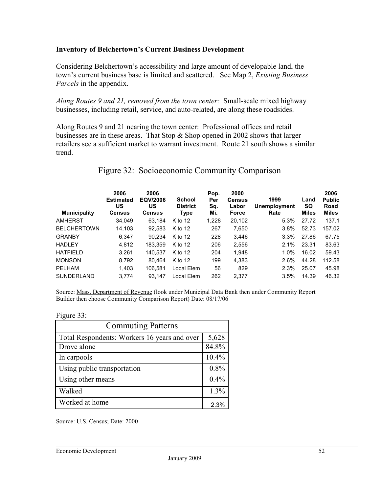### **Inventory of Belchertown's Current Business Development**

Considering Belchertown's accessibility and large amount of developable land, the town's current business base is limited and scattered. See Map 2, *Existing Business Parcels* in the appendix.

*Along Routes 9 and 21, removed from the town center:* Small-scale mixed highway businesses, including retail, service, and auto-related, are along these roadsides.

Along Routes 9 and 21 nearing the town center: Professional offices and retail businesses are in these areas. That Stop  $\&$  Shop opened in 2002 shows that larger retailers see a sufficient market to warrant investment. Route 21 south shows a similar trend.

| <b>Municipality</b> | 2006<br><b>Estimated</b><br>US<br><b>Census</b> | 2006<br>EQV/2006<br>US<br><b>Census</b> | <b>School</b><br><b>District</b><br>Type | Pop.<br>Per<br>Sq.<br>Mi. | 2000<br><b>Census</b><br>Labor<br><b>Force</b> | 1999<br>Unemployment<br>Rate | Land<br><b>SQ</b><br><b>Miles</b> | 2006<br><b>Public</b><br>Road<br><b>Miles</b> |
|---------------------|-------------------------------------------------|-----------------------------------------|------------------------------------------|---------------------------|------------------------------------------------|------------------------------|-----------------------------------|-----------------------------------------------|
| <b>AMHERST</b>      | 34,049                                          | 63,184                                  | K to 12                                  | 1,228                     | 20,102                                         | 5.3%                         | 27.72                             | 137.1                                         |
| <b>BELCHERTOWN</b>  | 14,103                                          | 92,583                                  | $K$ to 12                                | 267                       | 7,650                                          | 3.8%                         | 52.73                             | 157.02                                        |
| <b>GRANBY</b>       | 6,347                                           | 90.234                                  | $K$ to 12                                | 228                       | 3,446                                          | 3.3%                         | 27.86                             | 67.75                                         |
| <b>HADLEY</b>       | 4.812                                           | 183.359                                 | $K$ to 12                                | 206                       | 2,556                                          | 2.1%                         | 23.31                             | 83.63                                         |
| <b>HATFIELD</b>     | 3,261                                           | 140.537                                 | $K$ to 12                                | 204                       | 1.948                                          | 1.0%                         | 16.02                             | 59.43                                         |
| <b>MONSON</b>       | 8,792                                           | 80.464                                  | K to 12                                  | 199                       | 4,383                                          | 2.6%                         | 44.28                             | 112.58                                        |
| <b>PELHAM</b>       | 1,403                                           | 106.581                                 | Local Elem                               | 56                        | 829                                            | 2.3%                         | 25.07                             | 45.98                                         |
| <b>SUNDERLAND</b>   | 3,774                                           | 93.147                                  | Local Elem                               | 262                       | 2,377                                          | 3.5%                         | 14.39                             | 46.32                                         |

# Figure 32: Socioeconomic Community Comparison

Source: Mass. Department of Revenue (look under Municipal Data Bank then under Community Report Builder then choose Community Comparison Report) Date: 08/17/06

#### Figure 33:

| <b>Commuting Patterns</b>                    |       |  |  |  |
|----------------------------------------------|-------|--|--|--|
| Total Respondents: Workers 16 years and over |       |  |  |  |
| Drove alone                                  | 84.8% |  |  |  |
| In carpools                                  | 10.4% |  |  |  |
| Using public transportation                  | 0.8%  |  |  |  |
| Using other means                            | 0.4%  |  |  |  |
| Walked                                       | 1.3%  |  |  |  |
| Worked at home                               | 2.3%  |  |  |  |

Source: U.S. Census; Date: 2000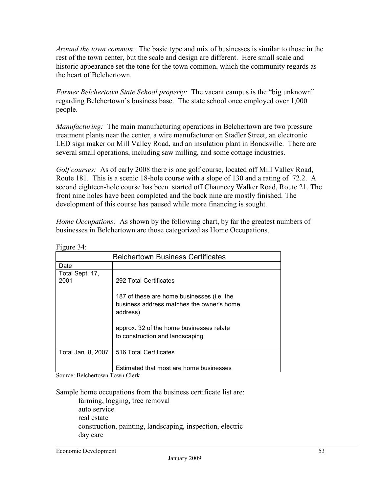*Around the town common*: The basic type and mix of businesses is similar to those in the rest of the town center, but the scale and design are different. Here small scale and historic appearance set the tone for the town common, which the community regards as the heart of Belchertown.

*Former Belchertown State School property:* The vacant campus is the "big unknown" regarding Belchertown's business base. The state school once employed over 1,000 people.

*Manufacturing:* The main manufacturing operations in Belchertown are two pressure treatment plants near the center, a wire manufacturer on Stadler Street, an electronic LED sign maker on Mill Valley Road, and an insulation plant in Bondsville. There are several small operations, including saw milling, and some cottage industries.

*Golf courses:* As of early 2008 there is one golf course, located off Mill Valley Road, Route 181. This is a scenic 18-hole course with a slope of 130 and a rating of 72.2. A second eighteen-hole course has been started off Chauncey Walker Road, Route 21. The front nine holes have been completed and the back nine are mostly finished. The development of this course has paused while more financing is sought.

*Home Occupations:* As shown by the following chart, by far the greatest numbers of businesses in Belchertown are those categorized as Home Occupations.

| <b>Belchertown Business Certificates</b> |                                                                                                     |  |  |
|------------------------------------------|-----------------------------------------------------------------------------------------------------|--|--|
| Date                                     |                                                                                                     |  |  |
| Total Sept. 17,<br>2001                  | 292 Total Certificates                                                                              |  |  |
|                                          | 187 of these are home businesses (i.e. the<br>business address matches the owner's home<br>address) |  |  |
|                                          | approx. 32 of the home businesses relate<br>to construction and landscaping                         |  |  |
| Total Jan. 8, 2007                       | 516 Total Certificates                                                                              |  |  |
|                                          | Estimated that most are home businesses                                                             |  |  |

Figure 34:

Source: Belchertown Town Clerk

Sample home occupations from the business certificate list are:

farming, logging, tree removal auto service real estate construction, painting, landscaping, inspection, electric day care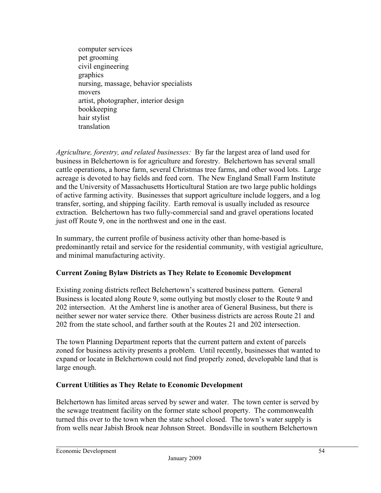computer services pet grooming civil engineering graphics nursing, massage, behavior specialists movers artist, photographer, interior design bookkeeping hair stylist translation

*Agriculture, forestry, and related businesses:* By far the largest area of land used for business in Belchertown is for agriculture and forestry. Belchertown has several small cattle operations, a horse farm, several Christmas tree farms, and other wood lots. Large acreage is devoted to hay fields and feed corn. The New England Small Farm Institute and the University of Massachusetts Horticultural Station are two large public holdings of active farming activity. Businesses that support agriculture include loggers, and a log transfer, sorting, and shipping facility. Earth removal is usually included as resource extraction. Belchertown has two fully-commercial sand and gravel operations located just off Route 9, one in the northwest and one in the east.

In summary, the current profile of business activity other than home-based is predominantly retail and service for the residential community, with vestigial agriculture, and minimal manufacturing activity.

# **Current Zoning Bylaw Districts as They Relate to Economic Development**

Existing zoning districts reflect Belchertown's scattered business pattern. General Business is located along Route 9, some outlying but mostly closer to the Route 9 and 202 intersection. At the Amherst line is another area of General Business, but there is neither sewer nor water service there. Other business districts are across Route 21 and 202 from the state school, and farther south at the Routes 21 and 202 intersection.

The town Planning Department reports that the current pattern and extent of parcels zoned for business activity presents a problem. Until recently, businesses that wanted to expand or locate in Belchertown could not find properly zoned, developable land that is large enough.

#### **Current Utilities as They Relate to Economic Development**

Belchertown has limited areas served by sewer and water. The town center is served by the sewage treatment facility on the former state school property. The commonwealth turned this over to the town when the state school closed. The town's water supply is from wells near Jabish Brook near Johnson Street. Bondsville in southern Belchertown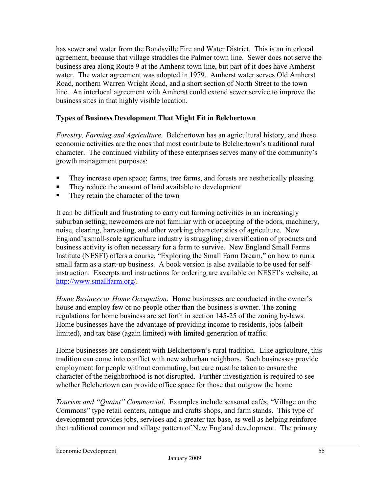has sewer and water from the Bondsville Fire and Water District. This is an interlocal agreement, because that village straddles the Palmer town line. Sewer does not serve the business area along Route 9 at the Amherst town line, but part of it does have Amherst water. The water agreement was adopted in 1979. Amherst water serves Old Amherst Road, northern Warren Wright Road, and a short section of North Street to the town line. An interlocal agreement with Amherst could extend sewer service to improve the business sites in that highly visible location.

# **Types of Business Development That Might Fit in Belchertown**

*Forestry, Farming and Agriculture.* Belchertown has an agricultural history, and these economic activities are the ones that most contribute to Belchertown's traditional rural character. The continued viability of these enterprises serves many of the community's growth management purposes:

- They increase open space; farms, tree farms, and forests are aesthetically pleasing
- They reduce the amount of land available to development
- They retain the character of the town

It can be difficult and frustrating to carry out farming activities in an increasingly suburban setting; newcomers are not familiar with or accepting of the odors, machinery, noise, clearing, harvesting, and other working characteristics of agriculture. New England's small-scale agriculture industry is struggling; diversification of products and business activity is often necessary for a farm to survive. New England Small Farms Institute (NESFI) offers a course, "Exploring the Small Farm Dream," on how to run a small farm as a start-up business. A book version is also available to be used for selfinstruction. Excerpts and instructions for ordering are available on NESFI's website, at http://www.smallfarm.org/.

*Home Business or Home Occupation*. Home businesses are conducted in the owner's house and employ few or no people other than the business's owner. The zoning regulations for home business are set forth in section 145-25 of the zoning by-laws. Home businesses have the advantage of providing income to residents, jobs (albeit limited), and tax base (again limited) with limited generation of traffic.

Home businesses are consistent with Belchertown's rural tradition. Like agriculture, this tradition can come into conflict with new suburban neighbors. Such businesses provide employment for people without commuting, but care must be taken to ensure the character of the neighborhood is not disrupted. Further investigation is required to see whether Belchertown can provide office space for those that outgrow the home.

*Tourism and "Quaint" Commercial*. Examples include seasonal cafés, "Village on the Commons" type retail centers, antique and crafts shops, and farm stands. This type of development provides jobs, services and a greater tax base, as well as helping reinforce the traditional common and village pattern of New England development. The primary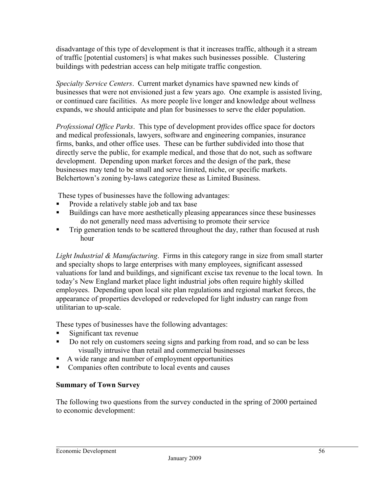disadvantage of this type of development is that it increases traffic, although it a stream of traffic [potential customers] is what makes such businesses possible. Clustering buildings with pedestrian access can help mitigate traffic congestion.

*Specialty Service Centers*. Current market dynamics have spawned new kinds of businesses that were not envisioned just a few years ago. One example is assisted living, or continued care facilities. As more people live longer and knowledge about wellness expands, we should anticipate and plan for businesses to serve the elder population.

*Professional Office Parks*. This type of development provides office space for doctors and medical professionals, lawyers, software and engineering companies, insurance firms, banks, and other office uses. These can be further subdivided into those that directly serve the public, for example medical, and those that do not, such as software development. Depending upon market forces and the design of the park, these businesses may tend to be small and serve limited, niche, or specific markets. Belchertown's zoning by-laws categorize these as Limited Business.

These types of businesses have the following advantages:

- Provide a relatively stable job and tax base
- Buildings can have more aesthetically pleasing appearances since these businesses do not generally need mass advertising to promote their service
- Trip generation tends to be scattered throughout the day, rather than focused at rush hour

*Light Industrial & Manufacturing*. Firms in this category range in size from small starter and specialty shops to large enterprises with many employees, significant assessed valuations for land and buildings, and significant excise tax revenue to the local town. In today's New England market place light industrial jobs often require highly skilled employees. Depending upon local site plan regulations and regional market forces, the appearance of properties developed or redeveloped for light industry can range from utilitarian to up-scale.

These types of businesses have the following advantages:

- Significant tax revenue
- Do not rely on customers seeing signs and parking from road, and so can be less visually intrusive than retail and commercial businesses
- A wide range and number of employment opportunities
- Companies often contribute to local events and causes

#### **Summary of Town Survey**

The following two questions from the survey conducted in the spring of 2000 pertained to economic development: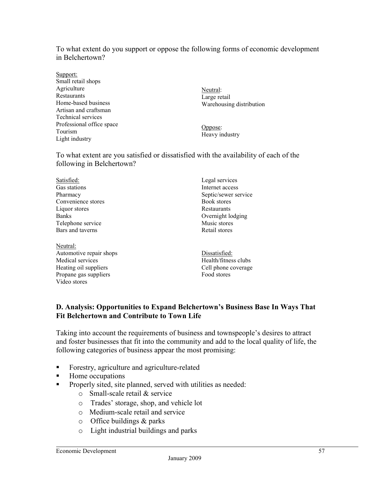To what extent do you support or oppose the following forms of economic development in Belchertown?

Support: Small retail shops **Agriculture** Restaurants Home-based business Artisan and craftsman Technical services Professional office space Tourism Light industry

Neutral: Large retail Warehousing distribution

Oppose: Heavy industry

Food stores

To what extent are you satisfied or dissatisfied with the availability of each of the following in Belchertown?

| Satisfied:              | Legal services       |
|-------------------------|----------------------|
| Gas stations            | Internet access      |
| Pharmacy                | Septic/sewer service |
| Convenience stores      | Book stores          |
| Liquor stores           | Restaurants          |
| <b>Banks</b>            | Overnight lodging    |
| Telephone service       | Music stores         |
| Bars and taverns        | Retail stores        |
| Neutral:                |                      |
| Automotive repair shops | Dissatisfied:        |
| Medical services        | Health/fitness clubs |
| Heating oil suppliers   | Cell phone coverage  |

# **D. Analysis: Opportunities to Expand Belchertown's Business Base In Ways That Fit Belchertown and Contribute to Town Life**

Taking into account the requirements of business and townspeople's desires to attract and foster businesses that fit into the community and add to the local quality of life, the following categories of business appear the most promising:

- Forestry, agriculture and agriculture-related
- Home occupations

Propane gas suppliers

Video stores

- **Properly sited, site planned, served with utilities as needed:** 
	- o Small-scale retail & service
	- o Trades' storage, shop, and vehicle lot
	- o Medium-scale retail and service
	- $\circ$  Office buildings & parks
	- o Light industrial buildings and parks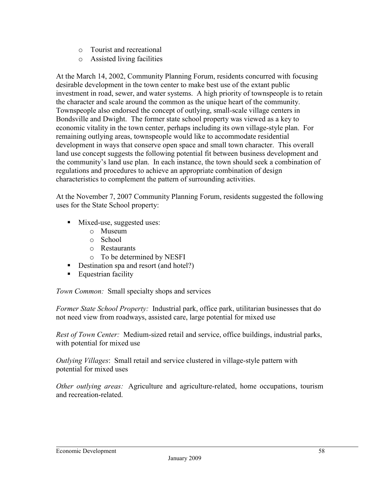- o Tourist and recreational
- o Assisted living facilities

At the March 14, 2002, Community Planning Forum, residents concurred with focusing desirable development in the town center to make best use of the extant public investment in road, sewer, and water systems. A high priority of townspeople is to retain the character and scale around the common as the unique heart of the community. Townspeople also endorsed the concept of outlying, small-scale village centers in Bondsville and Dwight. The former state school property was viewed as a key to economic vitality in the town center, perhaps including its own village-style plan. For remaining outlying areas, townspeople would like to accommodate residential development in ways that conserve open space and small town character. This overall land use concept suggests the following potential fit between business development and the community's land use plan. In each instance, the town should seek a combination of regulations and procedures to achieve an appropriate combination of design characteristics to complement the pattern of surrounding activities.

At the November 7, 2007 Community Planning Forum, residents suggested the following uses for the State School property:

- **Mixed-use, suggested uses:** 
	- o Museum
	- o School
	- o Restaurants
	- o To be determined by NESFI
- Destination spa and resort (and hotel?)
- **Equestrian facility**

*Town Common:* Small specialty shops and services

*Former State School Property:* Industrial park, office park, utilitarian businesses that do not need view from roadways, assisted care, large potential for mixed use

*Rest of Town Center:* Medium-sized retail and service, office buildings, industrial parks, with potential for mixed use

*Outlying Villages*: Small retail and service clustered in village-style pattern with potential for mixed uses

*Other outlying areas:* Agriculture and agriculture-related, home occupations, tourism and recreation-related.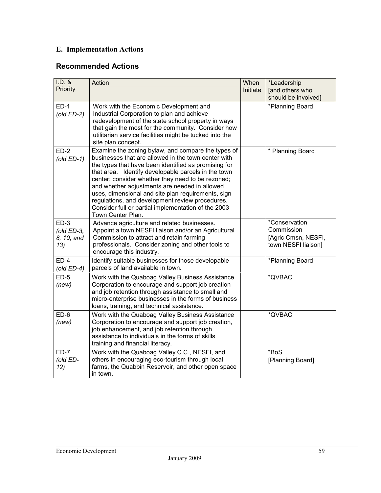# **E. Implementation Actions**

# **Recommended Actions**

| $I.D.$ &<br>Priority                         | Action                                                                                                                                                                                                                                                                                                                                                                                                                                                                                                              | When<br>Initiate | *Leadership<br>[and others who<br>should be involved]                     |
|----------------------------------------------|---------------------------------------------------------------------------------------------------------------------------------------------------------------------------------------------------------------------------------------------------------------------------------------------------------------------------------------------------------------------------------------------------------------------------------------------------------------------------------------------------------------------|------------------|---------------------------------------------------------------------------|
| $ED-1$<br>$\left($ old ED-2 $\right)$        | Work with the Economic Development and<br>Industrial Corporation to plan and achieve<br>redevelopment of the state school property in ways<br>that gain the most for the community. Consider how<br>utilitarian service facilities might be tucked into the<br>site plan concept.                                                                                                                                                                                                                                   |                  | *Planning Board                                                           |
| $ED-2$<br>$\left($ old ED-1)                 | Examine the zoning bylaw, and compare the types of<br>businesses that are allowed in the town center with<br>the types that have been identified as promising for<br>that area. Identify developable parcels in the town<br>center; consider whether they need to be rezoned;<br>and whether adjustments are needed in allowed<br>uses, dimensional and site plan requirements, sign<br>regulations, and development review procedures.<br>Consider full or partial implementation of the 2003<br>Town Center Plan. |                  | * Planning Board                                                          |
| $ED-3$<br>(old $ED-3$ ,<br>8, 10, and<br>13) | Advance agriculture and related businesses.<br>Appoint a town NESFI liaison and/or an Agricultural<br>Commission to attract and retain farming<br>professionals. Consider zoning and other tools to<br>encourage this industry.                                                                                                                                                                                                                                                                                     |                  | *Conservation<br>Commission<br>[Agric Cmsn, NESFI,<br>town NESFI liaison] |
| $ED-4$<br>(old $ED-4$ )                      | Identify suitable businesses for those developable<br>parcels of land available in town.                                                                                                                                                                                                                                                                                                                                                                                                                            |                  | *Planning Board                                                           |
| $ED-5$<br>(new)                              | Work with the Quaboag Valley Business Assistance<br>Corporation to encourage and support job creation<br>and job retention through assistance to small and<br>micro-enterprise businesses in the forms of business<br>loans, training, and technical assistance.                                                                                                                                                                                                                                                    |                  | *QVBAC                                                                    |
| ED-6<br>(new)                                | Work with the Quaboag Valley Business Assistance<br>Corporation to encourage and support job creation,<br>job enhancement, and job retention through<br>assistance to individuals in the forms of skills<br>training and financial literacy.                                                                                                                                                                                                                                                                        |                  | *QVBAC                                                                    |
| $ED-7$<br>(old ED-<br>12)                    | Work with the Quaboag Valley C.C., NESFI, and<br>others in encouraging eco-tourism through local<br>farms, the Quabbin Reservoir, and other open space<br>in town.                                                                                                                                                                                                                                                                                                                                                  |                  | *BoS<br>[Planning Board]                                                  |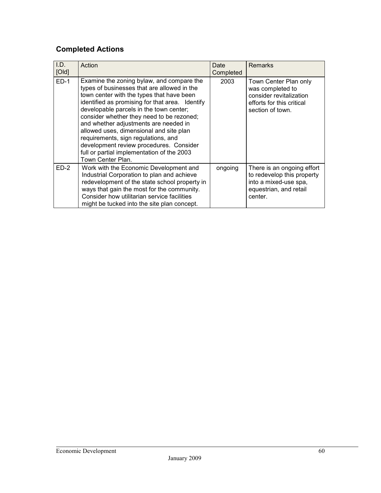# **Completed Actions**

| LD.<br>[Old] | Action                                                                                                                                                                                                                                                                                                                                                                                                                                                                                                                    | Date<br>Completed | <b>Remarks</b>                                                                                                         |
|--------------|---------------------------------------------------------------------------------------------------------------------------------------------------------------------------------------------------------------------------------------------------------------------------------------------------------------------------------------------------------------------------------------------------------------------------------------------------------------------------------------------------------------------------|-------------------|------------------------------------------------------------------------------------------------------------------------|
| $ED-1$       | Examine the zoning bylaw, and compare the<br>types of businesses that are allowed in the<br>town center with the types that have been<br>identified as promising for that area. Identify<br>developable parcels in the town center;<br>consider whether they need to be rezoned;<br>and whether adjustments are needed in<br>allowed uses, dimensional and site plan<br>requirements, sign regulations, and<br>development review procedures. Consider<br>full or partial implementation of the 2003<br>Town Center Plan. | 2003              | Town Center Plan only<br>was completed to<br>consider revitalization<br>efforts for this critical<br>section of town.  |
| $ED-2$       | Work with the Economic Development and<br>Industrial Corporation to plan and achieve<br>redevelopment of the state school property in<br>ways that gain the most for the community.<br>Consider how utilitarian service facilities<br>might be tucked into the site plan concept.                                                                                                                                                                                                                                         | ongoing           | There is an ongoing effort<br>to redevelop this property<br>into a mixed-use spa,<br>equestrian, and retail<br>center. |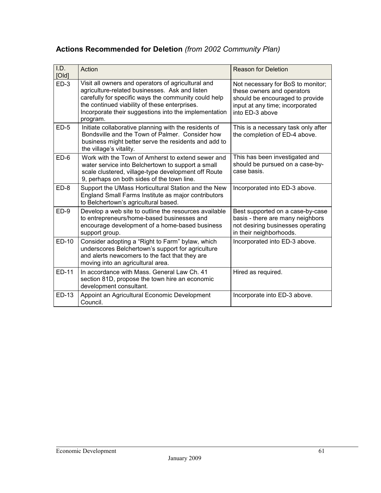# **Actions Recommended for Deletion** *(from 2002 Community Plan)*

| I.D.<br>[Old] | Action                                                                                                                                                                                                                                                                             | <b>Reason for Deletion</b>                                                                                                                               |
|---------------|------------------------------------------------------------------------------------------------------------------------------------------------------------------------------------------------------------------------------------------------------------------------------------|----------------------------------------------------------------------------------------------------------------------------------------------------------|
| $ED-3$        | Visit all owners and operators of agricultural and<br>agriculture-related businesses. Ask and listen<br>carefully for specific ways the community could help<br>the continued viability of these enterprises.<br>Incorporate their suggestions into the implementation<br>program. | Not necessary for BoS to monitor;<br>these owners and operators<br>should be encouraged to provide<br>input at any time; incorporated<br>into ED-3 above |
| $ED-5$        | Initiate collaborative planning with the residents of<br>Bondsville and the Town of Palmer. Consider how<br>business might better serve the residents and add to<br>the village's vitality.                                                                                        | This is a necessary task only after<br>the completion of ED-4 above.                                                                                     |
| $ED-6$        | Work with the Town of Amherst to extend sewer and<br>water service into Belchertown to support a small<br>scale clustered, village-type development off Route<br>9, perhaps on both sides of the town line.                                                                        | This has been investigated and<br>should be pursued on a case-by-<br>case basis.                                                                         |
| $ED-8$        | Support the UMass Horticultural Station and the New<br>England Small Farms Institute as major contributors<br>to Belchertown's agricultural based.                                                                                                                                 | Incorporated into ED-3 above.                                                                                                                            |
| $ED-9$        | Develop a web site to outline the resources available<br>to entrepreneurs/home-based businesses and<br>encourage development of a home-based business<br>support group.                                                                                                            | Best supported on a case-by-case<br>basis - there are many neighbors<br>not desiring businesses operating<br>in their neighborhoods.                     |
| ED-10         | Consider adopting a "Right to Farm" bylaw, which<br>underscores Belchertown's support for agriculture<br>and alerts newcomers to the fact that they are<br>moving into an agricultural area.                                                                                       | Incorporated into ED-3 above.                                                                                                                            |
| <b>ED-11</b>  | In accordance with Mass, General Law Ch. 41<br>section 81D, propose the town hire an economic<br>development consultant.                                                                                                                                                           | Hired as required.                                                                                                                                       |
| ED-13         | Appoint an Agricultural Economic Development<br>Council.                                                                                                                                                                                                                           | Incorporate into ED-3 above.                                                                                                                             |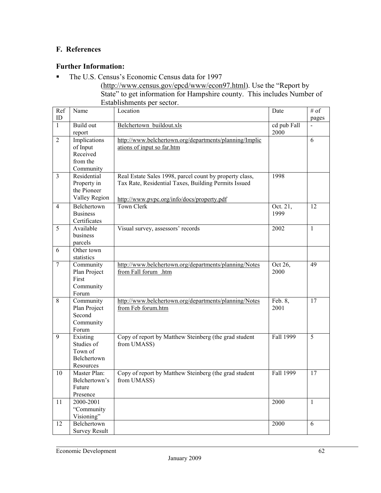# **F. References**

# **Further Information:**

The U.S. Census's Economic Census data for 1997

(http://www.census.gov/epcd/www/econ97.html). Use the "Report by State" to get information for Hampshire county. This includes Number of Establishments per sector.

| Ref                     | Name                     | Location                                                             | Date        | $\overline{\#}$ of |
|-------------------------|--------------------------|----------------------------------------------------------------------|-------------|--------------------|
| $\mathbf{ID}$           |                          |                                                                      |             | pages              |
| $\mathbf{1}$            | Build out                | Belchertown_buildout.xls                                             | cd pub Fall |                    |
|                         | report                   |                                                                      | 2000        |                    |
| $\overline{2}$          | Implications             | http://www.belchertown.org/departments/planning/Implic               |             | 6                  |
|                         | of Input                 | ations of input so far.htm                                           |             |                    |
|                         | Received<br>from the     |                                                                      |             |                    |
|                         |                          |                                                                      |             |                    |
| $\overline{\mathbf{3}}$ | Community<br>Residential |                                                                      | 1998        |                    |
|                         |                          | Real Estate Sales 1998, parcel count by property class,              |             |                    |
|                         | Property in              | Tax Rate, Residential Taxes, Building Permits Issued                 |             |                    |
|                         | the Pioneer              |                                                                      |             |                    |
|                         | Valley Region            | http://www.pvpc.org/info/docs/property.pdf                           |             |                    |
| $\overline{4}$          | Belchertown              | <b>Town Clerk</b>                                                    | Oct. 21,    | 12                 |
|                         | <b>Business</b>          |                                                                      | 1999        |                    |
|                         | Certificates             |                                                                      |             |                    |
| $\overline{5}$          | Available                | Visual survey, assessors' records                                    | 2002        | $\mathbf{1}$       |
|                         | business                 |                                                                      |             |                    |
|                         | parcels                  |                                                                      |             |                    |
| 6                       | Other town               |                                                                      |             |                    |
|                         | statistics               |                                                                      |             |                    |
| $\tau$                  | Community                | http://www.belchertown.org/departments/planning/Notes                | Oct 26,     | 49                 |
|                         | Plan Project             | from Fall forum .htm                                                 | 2000        |                    |
|                         | First                    |                                                                      |             |                    |
|                         | Community                |                                                                      |             |                    |
|                         | Forum                    |                                                                      |             |                    |
| $\,$ 8 $\,$             | Community                | http://www.belchertown.org/departments/planning/Notes                | Feb. 8,     | 17                 |
|                         | Plan Project             | from Feb forum.htm                                                   | 2001        |                    |
|                         | Second                   |                                                                      |             |                    |
|                         | Community                |                                                                      |             |                    |
| $\overline{9}$          | Forum                    |                                                                      | Fall 1999   | 5                  |
|                         | Existing<br>Studies of   | Copy of report by Matthew Steinberg (the grad student<br>from UMASS) |             |                    |
|                         | Town of                  |                                                                      |             |                    |
|                         | Belchertown              |                                                                      |             |                    |
|                         | Resources                |                                                                      |             |                    |
| 10                      | Master Plan:             | Copy of report by Matthew Steinberg (the grad student                | Fall 1999   | 17                 |
|                         | Belchertown's            | from UMASS)                                                          |             |                    |
|                         | Future                   |                                                                      |             |                    |
|                         | Presence                 |                                                                      |             |                    |
| 11                      | 2000-2001                |                                                                      | 2000        | $\mathbf{1}$       |
|                         | "Community               |                                                                      |             |                    |
|                         | Visioning"               |                                                                      |             |                    |
| 12                      | Belchertown              |                                                                      | 2000        | 6                  |
|                         | <b>Survey Result</b>     |                                                                      |             |                    |